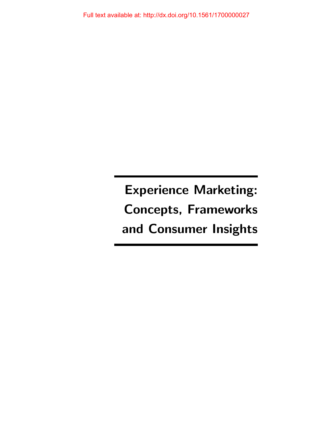Experience Marketing: Concepts, Frameworks and Consumer Insights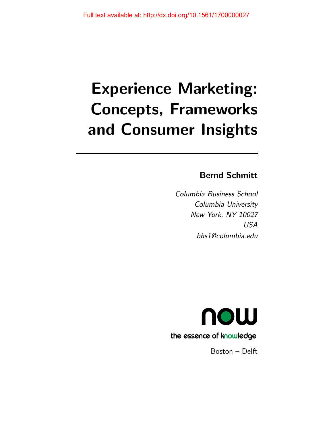# Experience Marketing: Concepts, Frameworks and Consumer Insights

## Bernd Schmitt

Columbia Business School Columbia University New York, NY 10027 USA bhs1@columbia.edu



Boston – Delft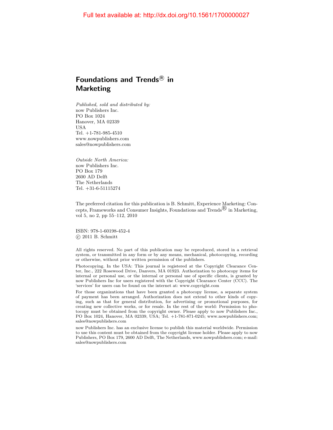## Foundations and Trends ${}^{\text{\textregistered}}$  in Marketing

Published, sold and distributed by: now Publishers Inc. PO Box 1024 Hanover, MA 02339 USA Tel. +1-781-985-4510 www.nowpublishers.com sales@nowpublishers.com

Outside North America: now Publishers Inc. PO Box 179 2600 AD Delft The Netherlands Tel. +31-6-51115274

The preferred citation for this publication is B. Schmitt, Experience Marketing: Concepts, Frameworks and Consumer Insights, Foundations and Trends<sup> $\mathcal{R}$ </sup> in Marketing, vol 5, no 2, pp 55–112, 2010

ISBN: 978-1-60198-452-4  $(c)$  2011 B. Schmitt

All rights reserved. No part of this publication may be reproduced, stored in a retrieval system, or transmitted in any form or by any means, mechanical, photocopying, recording or otherwise, without prior written permission of the publishers.

Photocopying. In the USA: This journal is registered at the Copyright Clearance Center, Inc., 222 Rosewood Drive, Danvers, MA 01923. Authorization to photocopy items for internal or personal use, or the internal or personal use of specific clients, is granted by now Publishers Inc for users registered with the Copyright Clearance Center (CCC). The 'services' for users can be found on the internet at: www.copyright.com

For those organizations that have been granted a photocopy license, a separate system of payment has been arranged. Authorization does not extend to other kinds of copying, such as that for general distribution, for advertising or promotional purposes, for creating new collective works, or for resale. In the rest of the world: Permission to photocopy must be obtained from the copyright owner. Please apply to now Publishers Inc., PO Box 1024, Hanover, MA 02339, USA; Tel. +1-781-871-0245; www.nowpublishers.com; sales@nowpublishers.com

now Publishers Inc. has an exclusive license to publish this material worldwide. Permission to use this content must be obtained from the copyright license holder. Please apply to now Publishers, PO Box 179, 2600 AD Delft, The Netherlands, www.nowpublishers.com; e-mail: sales@nowpublishers.com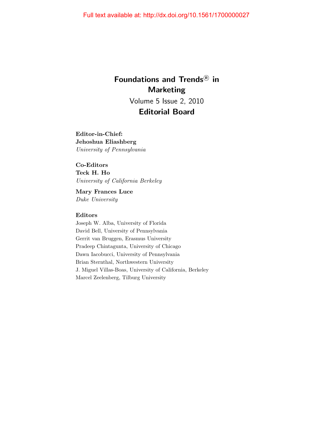# Foundations and Trends<sup>®</sup> in **Marketing** Volume 5 Issue 2, 2010 Editorial Board

Editor-in-Chief: Jehoshua Eliashberg University of Pennsylvania

### Co-Editors

Teck H. Ho University of California Berkeley

Mary Frances Luce Duke University

#### Editors

Joseph W. Alba, University of Florida David Bell, University of Pennsylvania Gerrit van Bruggen, Erasmus University Pradeep Chintagunta, University of Chicago Dawn Iacobucci, University of Pennsylvania Brian Sternthal, Northwestern University J. Miguel Villas-Boas, University of California, Berkeley Marcel Zeelenberg, Tilburg University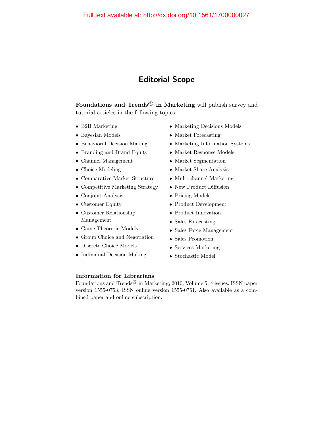## Editorial Scope

Foundations and Trends<sup>®</sup> in Marketing will publish survey and tutorial articles in the following topics:

- B2B Marketing
- Bayesian Models
- Behavioral Decision Making
- Branding and Brand Equity
- Channel Management
- Choice Modeling
- Comparative Market Structure
- Competitive Marketing Strategy
- Conjoint Analysis
- Customer Equity
- Customer Relationship Management
- Game Theoretic Models
- Group Choice and Negotiation
- Discrete Choice Models
- Individual Decision Making
- Marketing Decisions Models
- Market Forecasting
- Marketing Information Systems
- Market Response Models
- Market Segmentation
- Market Share Analysis
- Multi-channel Marketing
- New Product Diffusion
- Pricing Models
- Product Development
- Product Innovation
- Sales Forecasting
- Sales Force Management
- Sales Promotion
- Services Marketing
- Stochastic Model

#### Information for Librarians

Foundations and Trends<sup>®</sup> in Marketing, 2010, Volume 5, 4 issues. ISSN paper version 1555-0753. ISSN online version 1555-0761. Also available as a combined paper and online subscription.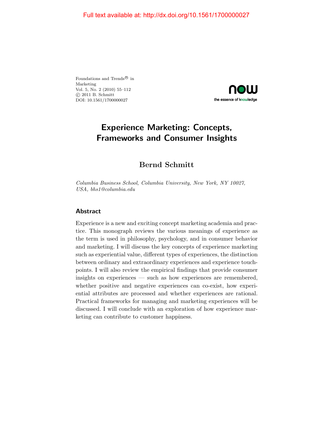Foundations and Trends<sup>®</sup> in Marketing Vol. 5, No. 2 (2010) 55–112 c 2011 B. Schmitt DOI: 10.1561/1700000027



## Experience Marketing: Concepts, Frameworks and Consumer Insights

## Bernd Schmitt

Columbia Business School, Columbia University, New York, NY 10027, USA, bhs1@columbia.edu

#### Abstract

Experience is a new and exciting concept marketing academia and practice. This monograph reviews the various meanings of experience as the term is used in philosophy, psychology, and in consumer behavior and marketing. I will discuss the key concepts of experience marketing such as experiential value, different types of experiences, the distinction between ordinary and extraordinary experiences and experience touchpoints. I will also review the empirical findings that provide consumer insights on experiences — such as how experiences are remembered, whether positive and negative experiences can co-exist, how experiential attributes are processed and whether experiences are rational. Practical frameworks for managing and marketing experiences will be discussed. I will conclude with an exploration of how experience marketing can contribute to customer happiness.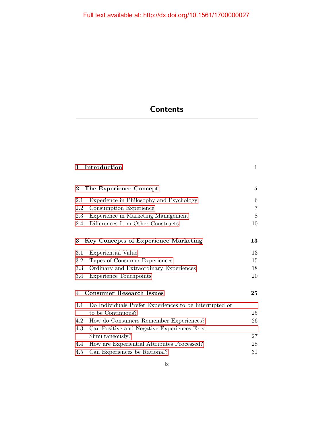# **Contents**

| $\mathbf{1}$                         | Introduction                                           | $\mathbf{1}$   |
|--------------------------------------|--------------------------------------------------------|----------------|
| $\bf{2}$                             | The Experience Concept                                 | 5              |
| 2.1                                  | Experience in Philosophy and Psychology                | 6              |
| 2.2                                  | Consumption Experience                                 | $\overline{7}$ |
| 2.3                                  | Experience in Marketing Management                     | 8              |
| 2.4                                  | Differences from Other Constructs                      | 10             |
| 3                                    | <b>Key Concepts of Experience Marketing</b>            | 13             |
| 3.1                                  | Experiential Value                                     | 13             |
| 3.2                                  | Types of Consumer Experiences                          | 15             |
| 3.3                                  | Ordinary and Extraordinary Experiences                 | 18             |
| 3.4                                  | <b>Experience Touchpoints</b>                          | 20             |
| <b>Consumer Research Issues</b><br>4 |                                                        |                |
| 4.1                                  | Do Individuals Prefer Experiences to be Interrupted or |                |
|                                      | to be Continuous?                                      | 25             |
| 4.2                                  | How do Consumers Remember Experiences?                 | 26             |
| 4.3                                  | Can Positive and Negative Experiences Exist            |                |
|                                      | Simultaneously?                                        | 27             |
| 4.4                                  | How are Experiential Attributes Processed?             | 28             |
| 4.5                                  | Can Experiences be Rational?                           | 31             |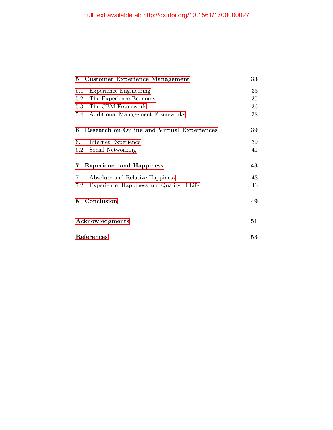| 5 Customer Experience Management                 | 33 |
|--------------------------------------------------|----|
| 5.1<br><b>Experience Engineering</b>             | 33 |
| The Experience Economy<br>5.2                    | 35 |
| 5.3 The CEM Framework                            | 36 |
| 5.4<br>Additional Management Frameworks          | 38 |
| Research on Online and Virtual Experiences<br>6  | 39 |
| Internet Experience<br>$6.1\,$                   | 39 |
| Social Networking<br>6.2                         | 41 |
| <b>Experience and Happiness</b><br>7             | 43 |
| Absolute and Relative Happiness<br>7.1           | 43 |
| Experience, Happiness and Quality of Life<br>7.2 | 46 |
| Conclusion<br>8                                  | 49 |
| Acknowledgments                                  |    |
| References                                       |    |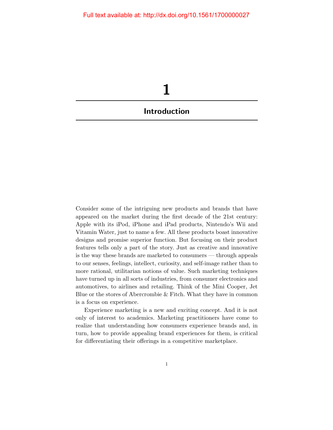<span id="page-8-0"></span>

Consider some of the intriguing new products and brands that have appeared on the market during the first decade of the 21st century: Apple with its iPod, iPhone and iPad products, Nintendo's Wii and Vitamin Water, just to name a few. All these products boast innovative designs and promise superior function. But focusing on their product features tells only a part of the story. Just as creative and innovative is the way these brands are marketed to consumers — through appeals to our senses, feelings, intellect, curiosity, and self-image rather than to more rational, utilitarian notions of value. Such marketing techniques have turned up in all sorts of industries, from consumer electronics and automotives, to airlines and retailing. Think of the Mini Cooper, Jet Blue or the stores of Abercrombie & Fitch. What they have in common is a focus on experience.

Experience marketing is a new and exciting concept. And it is not only of interest to academics. Marketing practitioners have come to realize that understanding how consumers experience brands and, in turn, how to provide appealing brand experiences for them, is critical for differentiating their offerings in a competitive marketplace.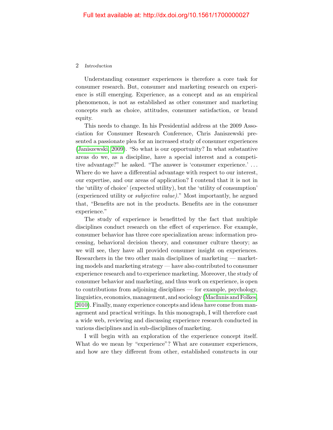#### 2 Introduction

Understanding consumer experiences is therefore a core task for consumer research. But, consumer and marketing research on experience is still emerging. Experience, as a concept and as an empirical phenomenon, is not as established as other consumer and marketing concepts such as choice, attitudes, consumer satisfaction, or brand equity.

This needs to change. In his Presidential address at the 2009 Association for Consumer Research Conference, Chris Janiszewski presented a passionate plea for an increased study of consumer experiences [\(Janiszewski, 2009\)](#page-15-0). "So what is our opportunity? In what substantive areas do we, as a discipline, have a special interest and a competitive advantage?" he asked. "The answer is 'consumer experience.' . . . Where do we have a differential advantage with respect to our interest, our expertise, and our areas of application? I contend that it is not in the 'utility of choice' (expected utility), but the 'utility of consumption' (experienced utility or subjective value)." Most importantly, he argued that, "Benefits are not in the products. Benefits are in the consumer experience."

The study of experience is benefitted by the fact that multiple disciplines conduct research on the effect of experience. For example, consumer behavior has three core specialization areas: information processing, behavioral decision theory, and consumer culture theory; as we will see, they have all provided consumer insight on experiences. Researchers in the two other main disciplines of marketing — marketing models and marketing strategy — have also contributed to consumer experience research and to experience marketing. Moreover, the study of consumer behavior and marketing, and thus work on experience, is open to contributions from adjoining disciplines — for example, psychology, linguistics, economics, management, and sociology [\(MacInnis and Folkes,](#page-17-0) [2010\)](#page-17-0). Finally, many experience concepts and ideas have come from management and practical writings. In this monograph, I will therefore cast a wide web, reviewing and discussing experience research conducted in various disciplines and in sub-disciplines of marketing.

I will begin with an exploration of the experience concept itself. What do we mean by "experience"? What are consumer experiences, and how are they different from other, established constructs in our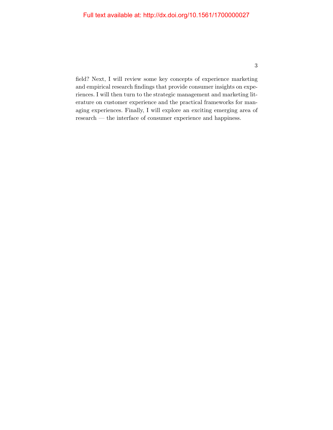field? Next, I will review some key concepts of experience marketing and empirical research findings that provide consumer insights on experiences. I will then turn to the strategic management and marketing literature on customer experience and the practical frameworks for managing experiences. Finally, I will explore an exciting emerging area of research — the interface of consumer experience and happiness.

3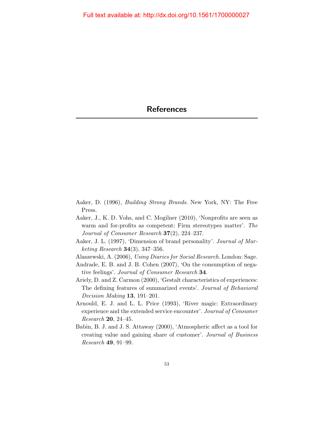- <span id="page-11-0"></span>Aaker, D. (1996), Building Strong Brands. New York, NY: The Free Press.
- Aaker, J., K. D. Vohs, and C. Mogilner (2010), 'Nonprofits are seen as warm and for-profits as competent: Firm stereotypes matter'. The Journal of Consumer Research 37(2), 224–237.
- Aaker, J. L. (1997), 'Dimension of brand personality'. Journal of Mar*keting Research* **34** $(3)$ , **347** $-356$ .
- Alaszewski, A. (2006), Using Diaries for Social Research. London: Sage.
- Andrade, E. B. and J. B. Cohen (2007), 'On the consumption of negative feelings'. Journal of Consumer Research 34.
- Ariely, D. and Z. Carmon (2000), 'Gestalt characteristics of experiences: The defining features of summarized events'. Journal of Behavioral Decision Making 13, 191-201.
- Arnould, E. J. and L. L. Price (1993), 'River magic: Extraordinary experience and the extended service encounter'. Journal of Consumer Research 20, 24–45.
- Babin, B. J. and J. S. Attaway (2000), 'Atmospheric affect as a tool for creating value and gaining share of customer'. Journal of Business Research 49, 91–99.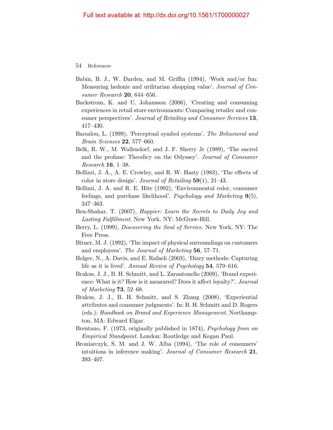- Babin, B. J., W. Darden, and M. Griffin (1994), 'Work and/or fun: Measuring hedonic and utilitarian shopping value'. Journal of Consumer Research 20, 644–656.
- Backstrom, K. and U. Johansson (2006), 'Creating and consuming experiences in retail store environments: Comparing retailer and consumer perspectives'. Journal of Retailing and Consumer Services 13, 417–430.
- Barsalou, L. (1999), 'Perceptual symbol systems'. The Behavioral and Brain Sciences 22, 577–660.
- Belk, R. W., M. Wallendorf, and J. F. Sherry Jr (1989), 'The sacred and the profane: Theodicy on the Odyssey'. Journal of Consumer Research 16, 1–38.
- Bellizzi, J. A., A. E. Crowley, and R. W. Hasty (1983), 'The effects of color in store design'. Journal of Retailing  $59(1)$ , 21–43.
- Bellizzi, J. A. and R. E. Hite (1992), 'Environmental color, consumer feelings, and purchase likelihood'. Psychology and Marketing 9(5), 347–363.
- Ben-Shahar, T. (2007), Happier: Learn the Secrets to Daily Joy and Lasting Fulfillment. New York, NY: McGraw-Hill.
- Berry, L. (1999), Discovering the Soul of Service. New York, NY: The Free Press.
- Bitner, M. J. (1992), 'The impact of physical surroundings on customers and employees'. The Journal of Marketing 56, 57–71.
- Bolger, N., A. Davis, and E. Rafaeli (2003), 'Diary methods: Capturing life as it is lived'. Annual Review of Psychology 54, 579–616.
- Brakus, J. J., B. H. Schmitt, and L. Zarantonello (2009), 'Brand experience: What is it? How is it measured? Does it affect loyalty?'. Journal of Marketing 73, 52–68.
- Brakus, J. J., B. H. Schmitt, and S. Zhang (2008), 'Experiential attributes and consumer judgments'. In: B. H. Schmitt and D. Rogers (eds.): Handbook on Brand and Experience Management. Northampton, MA: Edward Elgar.
- Brentano, F. (1973, originally published in 1874), *Psychology from an* Empirical Standpoint. London: Routledge and Kegan Paul.
- Broniarczyk, S. M. and J. W. Alba (1994), 'The role of consumers' intuitions in inference making'. Journal of Consumer Research 21, 393–407.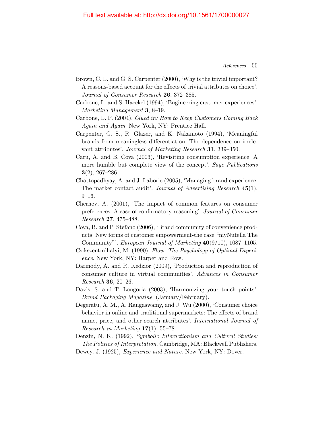- Brown, C. L. and G. S. Carpenter (2000), 'Why is the trivial important? A reasons-based account for the effects of trivial attributes on choice'. Journal of Consumer Research 26, 372–385.
- Carbone, L. and S. Haeckel (1994), 'Engineering customer experiences'. Marketing Management 3, 8-19.
- Carbone, L. P. (2004), Clued in: How to Keep Customers Coming Back Again and Again. New York, NY: Prentice Hall.
- Carpenter, G. S., R. Glazer, and K. Nakamoto (1994), 'Meaningful brands from meaningless differentiation: The dependence on irrelevant attributes'. Journal of Marketing Research 31, 339–350.
- Caru, A. and B. Cova (2003), 'Revisiting consumption experience: A more humble but complete view of the concept'. Sage Publications 3(2), 267–286.
- Chattopadhyay, A. and J. Laborie (2005), 'Managing brand experience: The market contact audit'. Journal of Advertising Research 45(1), 9–16.
- Chernev, A. (2001), 'The impact of common features on consumer preferences: A case of confirmatory reasoning'. Journal of Consumer Research 27, 475–488.
- Cova, B. and P. Stefano (2006), 'Brand community of convenience products: New forms of customer empowerment-the case "myNutella The Community"'. European Journal of Marketing  $40(9/10)$ , 1087–1105.
- Csikszentmihalyi, M. (1990), Flow: The Psychology of Optimal Experience. New York, NY: Harper and Row.
- Darmody, A. and R. Kedzior (2009), 'Production and reproduction of consumer culture in virtual communities'. Advances in Consumer Research 36, 20–26.
- Davis, S. and T. Longoria (2003), 'Harmonizing your touch points'. Brand Packaging Magazine, (January/February).
- Degeratu, A. M., A. Rangaswamy, and J. Wu (2000), 'Consumer choice behavior in online and traditional supermarkets: The effects of brand name, price, and other search attributes'. International Journal of Research in Marketing  $17(1)$ , 55–78.
- Denzin, N. K. (1992), *Symbolic Interactionism and Cultural Studies:* The Politics of Interpretation. Cambridge, MA: Blackwell Publishers.
- Dewey, J. (1925), *Experience and Nature*. New York, NY: Dover.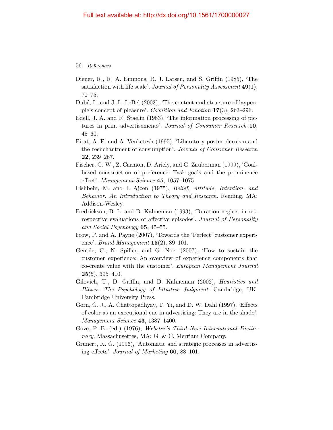- Diener, R., R. A. Emmons, R. J. Larsen, and S. Griffin (1985), 'The satisfaction with life scale'. Journal of Personality Assessment 49(1), 71–75.
- Dubé, L. and J. L. LeBel (2003), 'The content and structure of laypeople's concept of pleasure'. Cognition and Emotion 17(3), 263–296.
- Edell, J. A. and R. Staelin (1983), 'The information processing of pictures in print advertisements'. Journal of Consumer Research 10, 45–60.
- Firat, A. F. and A. Venkatesh (1995), 'Liberatory postmodernism and the reenchantment of consumption'. Journal of Consumer Research 22, 239–267.
- Fischer, G. W., Z. Carmon, D. Ariely, and G. Zauberman (1999), 'Goalbased construction of preference: Task goals and the prominence effect'. Management Science 45, 1057–1075.
- Fishbein, M. and I. Ajzen (1975), Belief, Attitude, Intention, and Behavior. An Introduction to Theory and Research. Reading, MA: Addison-Wesley.
- Fredrickson, B. L. and D. Kahneman (1993), 'Duration neglect in retrospective evaluations of affective episodes'. Journal of Personality and Social Psychology 65, 45–55.
- Frow, P. and A. Payne (2007), 'Towards the 'Perfect' customer experience'. *Brand Management* **15**(2), 89–101.
- Gentile, C., N. Spiller, and G. Noci (2007), 'How to sustain the customer experience: An overview of experience components that co-create value with the customer'. European Management Journal  $25(5)$ , 395-410.
- Gilovich, T., D. Griffin, and D. Kahneman (2002), Heuristics and Biases: The Psychology of Intuitive Judgment. Cambridge, UK: Cambridge University Press.
- Gorn, G. J., A. Chattopadhyay, T. Yi, and D. W. Dahl (1997), 'Effects of color as an executional cue in advertising: They are in the shade'. Management Science 43, 1387–1400.
- Gove, P. B. (ed.) (1976), Webster's Third New International Dictionary. Massachusettes, MA: G. & C. Merriam Company.
- Grunert, K. G. (1996), 'Automatic and strategic processes in advertising effects'. Journal of Marketing 60, 88–101.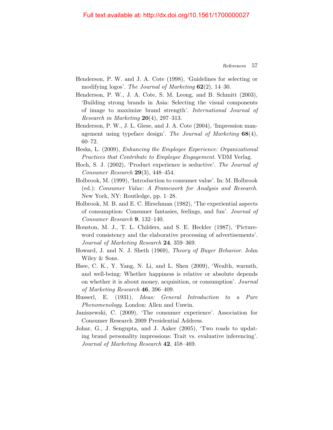- Henderson, P. W. and J. A. Cote (1998), 'Guidelines for selecting or modifying logos'. The Journal of Marketing  $62(2)$ , 14–30.
- Henderson, P. W., J. A. Cote, S. M. Leong, and B. Schmitt (2003), 'Building strong brands in Asia: Selecting the visual components of image to maximize brand strength'. International Journal of Research in Marketing  $20(4)$ , 297–313.
- Henderson, P. W., J. L. Giese, and J. A. Cote (2004), 'Impression management using typeface design'. The Journal of Marketing  $68(4)$ , 60–72.
- Heska, L. (2009), Enhancing the Employee Experience: Organizational Practices that Contribute to Employee Engagement. VDM Verlag.
- Hoch, S. J. (2002), 'Product experience is seductive'. The Journal of Consumer Research 29(3), 448–454.
- Holbrook, M. (1999), 'Introduction to consumer value'. In: M. Holbrook (ed.): Consumer Value: A Framework for Analysis and Research. New York, NY: Routledge, pp. 1–28.
- Holbrook, M. B. and E. C. Hirschman (1982), 'The experiential aspects of consumption: Consumer fantasies, feelings, and fun'. Journal of Consumer Research 9, 132–140.
- Houston, M. J., T. L. Childers, and S. E. Heckler (1987), 'Pictureword consistency and the elaborative processing of advertisements'. Journal of Marketing Research 24, 359–369.
- Howard, J. and N. J. Sheth (1969), Theory of Buyer Behavior. John Wiley & Sons.
- Hsee, C. K., Y. Yang, N. Li, and L. Shen (2009), 'Wealth, warmth, and well-being: Whether happiness is relative or absolute depends on whether it is about money, acquisition, or consumption'. Journal of Marketing Research 46, 396–409.
- Husserl, E. (1931), Ideas: General Introduction to a Pure Phenomenology. London: Allen and Unwin.
- <span id="page-15-0"></span>Janiszewski, C. (2009), 'The consumer experience'. Association for Consumer Research 2009 Presidential Address.
- Johar, G., J. Sengupta, and J. Aaker (2005), 'Two roads to updating brand personality impressions: Trait vs. evaluative inferencing'. Journal of Marketing Research 42, 458–469.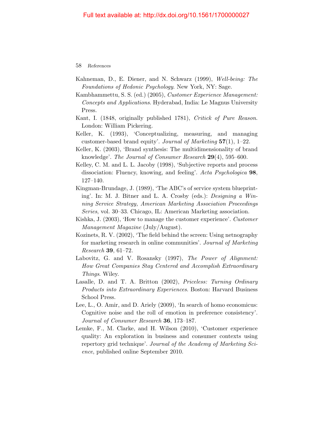- Kahneman, D., E. Diener, and N. Schwarz (1999), Well-being: The Foundations of Hedonic Psychology. New York, NY: Sage.
- Kambhammettu, S. S. (ed.) (2005), Customer Experience Management: Concepts and Applications. Hyderabad, India: Le Magnus University Press.
- Kant, I. (1848, originally published 1781), Critick of Pure Reason. London: William Pickering.
- Keller, K. (1993), 'Conceptualizing, measuring, and managing customer-based brand equity'. Journal of Marketing  $57(1)$ , 1–22.
- Keller, K. (2003), 'Brand synthesis: The multidimensionality of brand knowledge'. The Journal of Consumer Research 29(4), 595–600.
- Kelley, C. M. and L. L. Jacoby (1998), 'Subjective reports and process dissociation: Fluency, knowing, and feeling'. Acta Psychologica 98, 127–140.
- Kingman-Brundage, J. (1989), 'The ABC's of service system blueprinting'. In: M. J. Bitner and L. A. Crosby (eds.): Designing a Winning Service Strategy, American Marketing Association Proceedings Series, vol. 30–33. Chicago, IL: American Marketing association.
- Kishka, J. (2003), 'How to manage the customer experience'. Customer Management Magazine (July/August).
- Kozinets, R. V. (2002), 'The field behind the screen: Using netnography for marketing research in online communities'. Journal of Marketing Research 39, 61–72.
- Labovitz, G. and V. Rosansky (1997), The Power of Alignment: How Great Companies Stay Centered and Accomplish Extraordinary Things. Wiley.
- Lasalle, D. and T. A. Britton (2002), Priceless: Turning Ordinary Products into Extraordinary Experiences. Boston: Harvard Business School Press.
- Lee, L., O. Amir, and D. Ariely (2009), 'In search of homo economicus: Cognitive noise and the roll of emotion in preference consistency'. Journal of Consumer Research 36, 173–187.
- Lemke, F., M. Clarke, and H. Wilson (2010), 'Customer experience quality: An exploration in business and consumer contexts using repertory grid technique'. Journal of the Academy of Marketing Science, published online September 2010.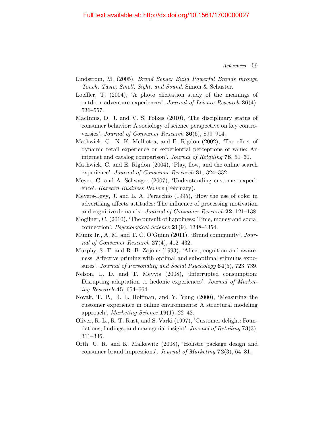- Lindstrom, M. (2005), Brand Sense: Build Powerful Brands through Touch, Taste, Smell, Sight, and Sound. Simon & Schuster.
- Loeffler, T. (2004), 'A photo elicitation study of the meanings of outdoor adventure experiences'. Journal of Leisure Research 36(4), 536–557.
- <span id="page-17-0"></span>MacInnis, D. J. and V. S. Folkes (2010), 'The disciplinary status of consumer behavior: A sociology of science perspective on key controversies'. Journal of Consumer Research 36(6), 899–914.
- Mathwick, C., N. K. Malhotra, and E. Rigdon (2002), 'The effect of dynamic retail experience on experiential perceptions of value: An internet and catalog comparison'. Journal of Retailing 78, 51–60.
- Mathwick, C. and E. Rigdon (2004), 'Play, flow, and the online search experience'. Journal of Consumer Research 31, 324–332.
- Meyer, C. and A. Schwager (2007), 'Understanding customer experience'. Harvard Business Review (February).
- Meyers-Levy, J. and L. A. Peracchio (1995), 'How the use of color in advertising affects attitudes: The influence of processing motivation and cognitive demands'. Journal of Consumer Research 22, 121–138.
- Mogilner, C. (2010), 'The pursuit of happiness: Time, money and social connection'. Psychological Science  $21(9)$ , 1348–1354.
- Muniz Jr., A. M. and T. C. O'Guinn (2011), 'Brand community'. Journal of Consumer Research 27(4), 412–432.
- Murphy, S. T. and R. B. Zajonc (1993), 'Affect, cognition and awareness: Affective priming with optimal and suboptimal stimulus exposures'. Journal of Personality and Social Psychology 64(5), 723–739.
- Nelson, L. D. and T. Meyvis (2008), 'Interrupted consumption: Disrupting adaptation to hedonic experiences'. Journal of Marketing Research 45, 654–664.
- Novak, T. P., D. L. Hoffman, and Y. Yung (2000), 'Measuring the customer experience in online environments: A structural modeling approach'. Marketing Science 19(1), 22–42.
- Oliver, R. L., R. T. Rust, and S. Varki (1997), 'Customer delight: Foundations, findings, and managerial insight'. Journal of Retailing 73(3), 311–336.
- Orth, U. R. and K. Malkewitz (2008), 'Holistic package design and consumer brand impressions'. Journal of Marketing 72(3), 64–81.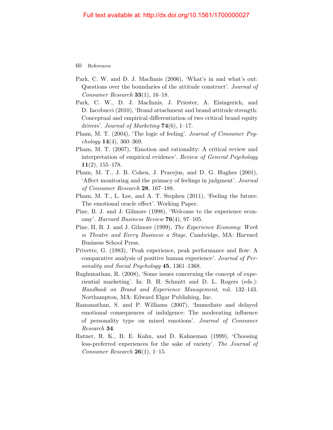- Park, C. W. and D. J. MacInnis (2006), 'What's in and what's out: Questions over the boundaries of the attitude construct'. Journal of Consumer Research  $33(1)$ , 16-18.
- Park, C. W., D. J. MacInnis, J. Priester, A. Eisingerich, and D. Iacobucci (2010), 'Brand attachment and brand attitude strength: Conceptual and empirical differentiation of two critical brand equity drivers'. Journal of Marketing  $74(6)$ , 1–17.
- Pham, M. T. (2004), 'The logic of feeling'. Journal of Consumer Psy $chology 14(4), 360-369.$
- Pham, M. T. (2007), 'Emotion and rationality: A critical review and interpretation of empirical evidence'. Review of General Psychology  $11(2)$ , 155–178.
- Pham, M. T., J. B. Cohen, J. Pracejus, and D. G. Hughes (2001), 'Affect monitoring and the primacy of feelings in judgment'. Journal of Consumer Research 28, 167–188.
- Pham, M. T., L. Lee, and A. T. Stephen (2011), 'Feeling the future: The emotional oracle effect'. Working Paper.
- Pine, B. J. and J. Gilmore (1998), 'Welcome to the experience economy'. Harvard Business Review  $76(4)$ , 97-105.
- Pine, II, B. J. and J. Gilmore (1999), The Experience Economy: Work is Theatre and Every Business a Stage. Cambridge, MA: Harvard Business School Press.
- Privette, G. (1983), 'Peak experience, peak performance and flow: A comparative analysis of positive human experience'. Journal of Personality and Social Psychology 45, 1361–1368.
- Raghunathan, R. (2008), 'Some issues concerning the concept of experiential marketing'. In: B. H. Schmitt and D. L. Rogers (eds.): Handbook on Brand and Experience Management, vol. 132–143. Northampton, MA: Edward Elgar Publishing, Inc.
- Ramanathan, S. and P. Williams (2007), 'Immediate and delayed emotional consequences of indulgence: The moderating influence of personality type on mixed emotions'. Journal of Consumer Research 34.
- Ratner, R. K., B. E. Kahn, and D. Kahneman (1999), 'Choosing less-preferred experiences for the sake of variety'. The Journal of Consumer Research  $26(1)$ , 1–15.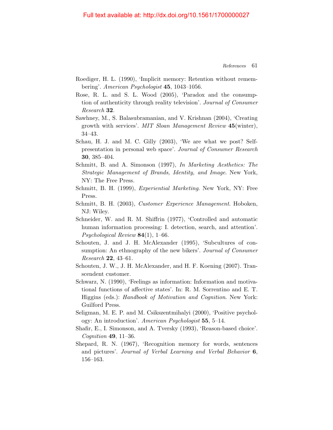- Roediger, H. L. (1990), 'Implicit memory: Retention without remembering'. American Psychologist 45, 1043–1056.
- Rose, R. L. and S. L. Wood (2005), 'Paradox and the consumption of authenticity through reality television'. Journal of Consumer Research 32.
- Sawhney, M., S. Balasubramanian, and V. Krishnan (2004), 'Creating growth with services'. MIT Sloan Management Review 45(winter), 34–43.
- Schau, H. J. and M. C. Gilly (2003), 'We are what we post? Selfpresentation in personal web space'. Journal of Consumer Research 30, 385–404.
- Schmitt, B. and A. Simonson (1997), In Marketing Aesthetics: The Strategic Management of Brands, Identity, and Image. New York, NY: The Free Press.
- Schmitt, B. H. (1999), Experiential Marketing. New York, NY: Free Press.
- Schmitt, B. H. (2003), Customer Experience Management. Hoboken, NJ: Wiley.
- Schneider, W. and R. M. Shiffrin (1977), 'Controlled and automatic human information processing: I. detection, search, and attention'. *Psychological Review* **84**(1), 1–66.
- Schouten, J. and J. H. McAlexander (1995), 'Subcultures of consumption: An ethnography of the new bikers'. Journal of Consumer Research 22, 43–61.
- Schouten, J. W., J. H. McAlexander, and H. F. Koening (2007). Transcendent customer.
- Schwarz, N. (1990), 'Feelings as information: Information and motivational functions of affective states'. In: R. M. Sorrentino and E. T. Higgins (eds.): Handbook of Motivation and Cognition. New York: Guilford Press.
- Seligman, M. E. P. and M. Csikszentmihalyi (2000), 'Positive psychology: An introduction'. American Psychologist 55, 5–14.
- Shafir, E., I. Simonson, and A. Tversky (1993), 'Reason-based choice'. Cognition 49, 11–36.
- Shepard, R. N. (1967), 'Recognition memory for words, sentences and pictures'. Journal of Verbal Learning and Verbal Behavior 6, 156–163.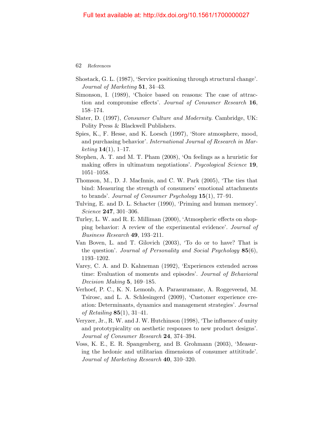- Shostack, G. L. (1987), 'Service positioning through structural change'. Journal of Marketing 51, 34–43.
- Simonson, I. (1989), 'Choice based on reasons: The case of attraction and compromise effects'. Journal of Consumer Research 16, 158–174.
- Slater, D. (1997), Consumer Culture and Modernity. Cambridge, UK: Polity Press & Blackwell Publishers.
- Spies, K., F. Hesse, and K. Loesch (1997), 'Store atmosphere, mood, and purchasing behavior'. International Journal of Research in Mar*keting*  $14(1)$ , 1–17.
- Stephen, A. T. and M. T. Pham (2008), 'On feelings as a hruristic for making offers in ultimatum negotiations'. Psycological Science 19, 1051–1058.
- Thomson, M., D. J. MacInnis, and C. W. Park (2005), 'The ties that bind: Measuring the strength of consumers' emotional attachments to brands'. Journal of Consumer Psychology  $15(1)$ , 77-91.
- Tulving, E. and D. L. Schacter (1990), 'Priming and human memory'. Science **247**, 301-306.
- Turley, L. W. and R. E. Milliman (2000), 'Atmospheric effects on shopping behavior: A review of the experimental evidence'. Journal of Business Research 49, 193–211.
- Van Boven, L. and T. Gilovich (2003), 'To do or to have? That is the question'. Journal of Personality and Social Psychology 85(6), 1193–1202.
- Varey, C. A. and D. Kahneman (1992), 'Experiences extended across time: Evaluation of moments and episodes'. Journal of Behavioral Decision Making 5, 169–185.
- Verhoef, P. C., K. N. Lemonb, A. Parasuramanc, A. Roggeveend, M. Tsirosc, and L. A. Schlesingerd (2009), 'Customer experience creation: Determinants, dynamics and management strategies'. Journal of Retailing  $85(1)$ , 31-41.
- Veryzer, Jr., R. W. and J. W. Hutchinson (1998), 'The influence of unity and prototypicality on aesthetic responses to new product designs'. Journal of Consumer Research 24, 374–394.
- Voss, K. E., E. R. Spangenberg, and B. Grohmann (2003), 'Measuring the hedonic and utilitarian dimensions of consumer attititude'. Journal of Marketing Research 40, 310–320.